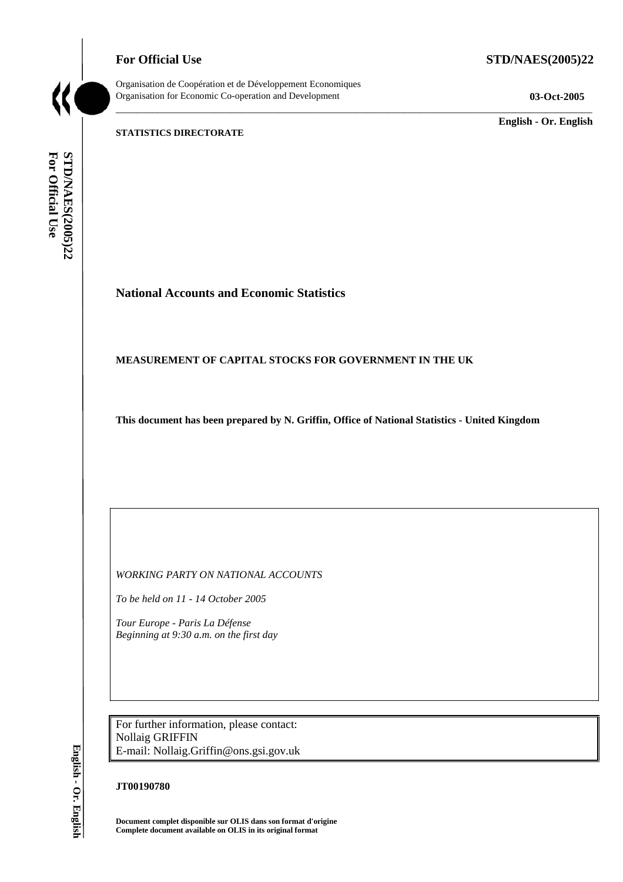**For Official Use STD/NAES(2005)22** 



Organisation de Coopération et de Développement Economiques Organisation for Economic Co-operation and Development **03-Oct-2005** 

\_\_\_\_\_\_\_\_\_\_\_\_\_ **English - Or. English** 

#### **STATISTICS DIRECTORATE**

For Official Use STD/NAES(2005)22 **For Official Use STD/NAES(2005)22 English - Or. English**

# **National Accounts and Economic Statistics**

#### **MEASUREMENT OF CAPITAL STOCKS FOR GOVERNMENT IN THE UK**

**This document has been prepared by N. Griffin, Office of National Statistics - United Kingdom** 

\_\_\_\_\_\_\_\_\_\_\_\_\_\_\_\_\_\_\_\_\_\_\_\_\_\_\_\_\_\_\_\_\_\_\_\_\_\_\_\_\_\_\_\_\_\_\_\_\_\_\_\_\_\_\_\_\_\_\_\_\_\_\_\_\_\_\_\_\_\_\_\_\_\_\_\_\_\_\_\_\_\_\_\_\_\_\_\_\_\_\_

*WORKING PARTY ON NATIONAL ACCOUNTS* 

*To be held on 11 - 14 October 2005* 

*Tour Europe - Paris La Défense Beginning at 9:30 a.m. on the first day* 

For further information, please contact: Nollaig GRIFFIN E-mail: Nollaig.Griffin@ons.gsi.gov.uk

#### **JT00190780**

**Document complet disponible sur OLIS dans son format d'origine Complete document available on OLIS in its original format**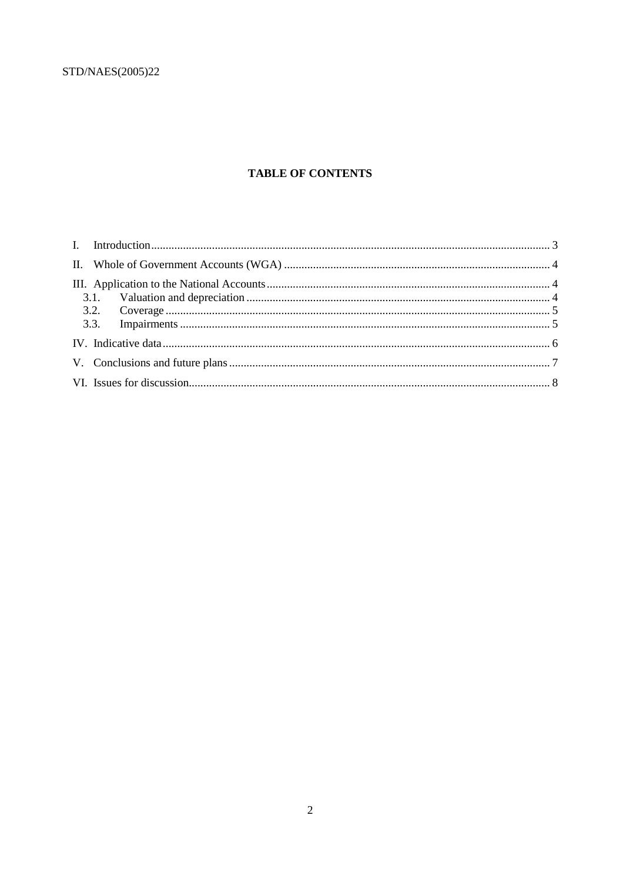# **TABLE OF CONTENTS**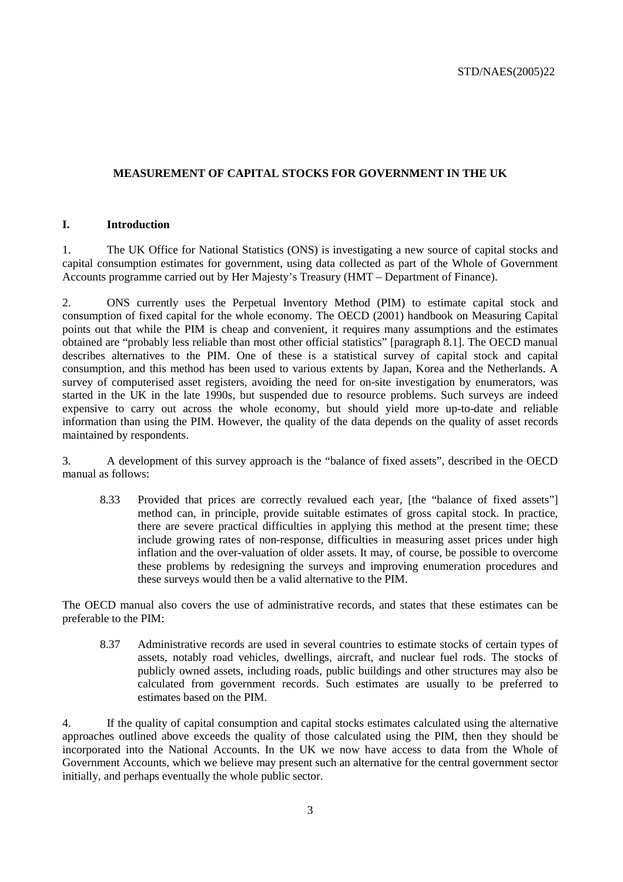## **MEASUREMENT OF CAPITAL STOCKS FOR GOVERNMENT IN THE UK**

#### **I. Introduction**

1. The UK Office for National Statistics (ONS) is investigating a new source of capital stocks and capital consumption estimates for government, using data collected as part of the Whole of Government Accounts programme carried out by Her Majesty's Treasury (HMT – Department of Finance).

2. ONS currently uses the Perpetual Inventory Method (PIM) to estimate capital stock and consumption of fixed capital for the whole economy. The OECD (2001) handbook on Measuring Capital points out that while the PIM is cheap and convenient, it requires many assumptions and the estimates obtained are "probably less reliable than most other official statistics" [paragraph 8.1]. The OECD manual describes alternatives to the PIM. One of these is a statistical survey of capital stock and capital consumption, and this method has been used to various extents by Japan, Korea and the Netherlands. A survey of computerised asset registers, avoiding the need for on-site investigation by enumerators, was started in the UK in the late 1990s, but suspended due to resource problems. Such surveys are indeed expensive to carry out across the whole economy, but should yield more up-to-date and reliable information than using the PIM. However, the quality of the data depends on the quality of asset records maintained by respondents.

3. A development of this survey approach is the "balance of fixed assets", described in the OECD manual as follows:

8.33 Provided that prices are correctly revalued each year, [the "balance of fixed assets"] method can, in principle, provide suitable estimates of gross capital stock. In practice, there are severe practical difficulties in applying this method at the present time; these include growing rates of non-response, difficulties in measuring asset prices under high inflation and the over-valuation of older assets. It may, of course, be possible to overcome these problems by redesigning the surveys and improving enumeration procedures and these surveys would then be a valid alternative to the PIM.

The OECD manual also covers the use of administrative records, and states that these estimates can be preferable to the PIM:

8.37 Administrative records are used in several countries to estimate stocks of certain types of assets, notably road vehicles, dwellings, aircraft, and nuclear fuel rods. The stocks of publicly owned assets, including roads, public buildings and other structures may also be calculated from government records. Such estimates are usually to be preferred to estimates based on the PIM.

4. If the quality of capital consumption and capital stocks estimates calculated using the alternative approaches outlined above exceeds the quality of those calculated using the PIM, then they should be incorporated into the National Accounts. In the UK we now have access to data from the Whole of Government Accounts, which we believe may present such an alternative for the central government sector initially, and perhaps eventually the whole public sector.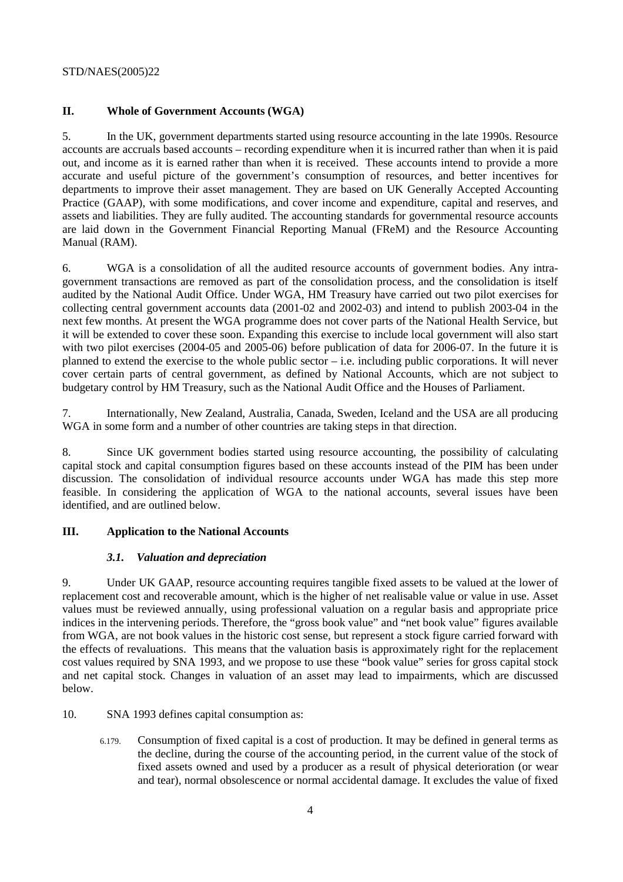### **II. Whole of Government Accounts (WGA)**

5. In the UK, government departments started using resource accounting in the late 1990s. Resource accounts are accruals based accounts – recording expenditure when it is incurred rather than when it is paid out, and income as it is earned rather than when it is received. These accounts intend to provide a more accurate and useful picture of the government's consumption of resources, and better incentives for departments to improve their asset management. They are based on UK Generally Accepted Accounting Practice (GAAP), with some modifications, and cover income and expenditure, capital and reserves, and assets and liabilities. They are fully audited. The accounting standards for governmental resource accounts are laid down in the Government Financial Reporting Manual (FReM) and the Resource Accounting Manual (RAM).

6. WGA is a consolidation of all the audited resource accounts of government bodies. Any intragovernment transactions are removed as part of the consolidation process, and the consolidation is itself audited by the National Audit Office. Under WGA, HM Treasury have carried out two pilot exercises for collecting central government accounts data (2001-02 and 2002-03) and intend to publish 2003-04 in the next few months. At present the WGA programme does not cover parts of the National Health Service, but it will be extended to cover these soon. Expanding this exercise to include local government will also start with two pilot exercises (2004-05 and 2005-06) before publication of data for 2006-07. In the future it is planned to extend the exercise to the whole public sector – i.e. including public corporations. It will never cover certain parts of central government, as defined by National Accounts, which are not subject to budgetary control by HM Treasury, such as the National Audit Office and the Houses of Parliament.

7. Internationally, New Zealand, Australia, Canada, Sweden, Iceland and the USA are all producing WGA in some form and a number of other countries are taking steps in that direction.

8. Since UK government bodies started using resource accounting, the possibility of calculating capital stock and capital consumption figures based on these accounts instead of the PIM has been under discussion. The consolidation of individual resource accounts under WGA has made this step more feasible. In considering the application of WGA to the national accounts, several issues have been identified, and are outlined below.

#### **III. Application to the National Accounts**

#### *3.1. Valuation and depreciation*

9. Under UK GAAP, resource accounting requires tangible fixed assets to be valued at the lower of replacement cost and recoverable amount, which is the higher of net realisable value or value in use. Asset values must be reviewed annually, using professional valuation on a regular basis and appropriate price indices in the intervening periods. Therefore, the "gross book value" and "net book value" figures available from WGA, are not book values in the historic cost sense, but represent a stock figure carried forward with the effects of revaluations. This means that the valuation basis is approximately right for the replacement cost values required by SNA 1993, and we propose to use these "book value" series for gross capital stock and net capital stock. Changes in valuation of an asset may lead to impairments, which are discussed below.

- 10. SNA 1993 defines capital consumption as:
	- 6.179. Consumption of fixed capital is a cost of production. It may be defined in general terms as the decline, during the course of the accounting period, in the current value of the stock of fixed assets owned and used by a producer as a result of physical deterioration (or wear and tear), normal obsolescence or normal accidental damage. It excludes the value of fixed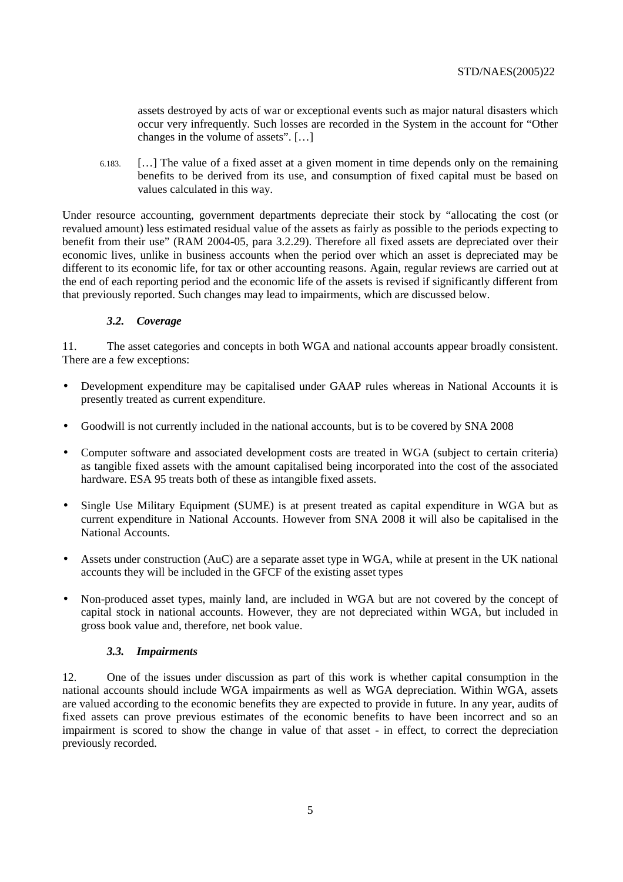assets destroyed by acts of war or exceptional events such as major natural disasters which occur very infrequently. Such losses are recorded in the System in the account for "Other changes in the volume of assets". […]

6.183. […] The value of a fixed asset at a given moment in time depends only on the remaining benefits to be derived from its use, and consumption of fixed capital must be based on values calculated in this way.

Under resource accounting, government departments depreciate their stock by "allocating the cost (or revalued amount) less estimated residual value of the assets as fairly as possible to the periods expecting to benefit from their use" (RAM 2004-05, para 3.2.29). Therefore all fixed assets are depreciated over their economic lives, unlike in business accounts when the period over which an asset is depreciated may be different to its economic life, for tax or other accounting reasons. Again, regular reviews are carried out at the end of each reporting period and the economic life of the assets is revised if significantly different from that previously reported. Such changes may lead to impairments, which are discussed below.

### *3.2. Coverage*

11. The asset categories and concepts in both WGA and national accounts appear broadly consistent. There are a few exceptions:

- Development expenditure may be capitalised under GAAP rules whereas in National Accounts it is presently treated as current expenditure.
- Goodwill is not currently included in the national accounts, but is to be covered by SNA 2008
- Computer software and associated development costs are treated in WGA (subject to certain criteria) as tangible fixed assets with the amount capitalised being incorporated into the cost of the associated hardware. ESA 95 treats both of these as intangible fixed assets.
- Single Use Military Equipment (SUME) is at present treated as capital expenditure in WGA but as current expenditure in National Accounts. However from SNA 2008 it will also be capitalised in the National Accounts.
- Assets under construction (AuC) are a separate asset type in WGA, while at present in the UK national accounts they will be included in the GFCF of the existing asset types
- Non-produced asset types, mainly land, are included in WGA but are not covered by the concept of capital stock in national accounts. However, they are not depreciated within WGA, but included in gross book value and, therefore, net book value.

#### *3.3. Impairments*

12. One of the issues under discussion as part of this work is whether capital consumption in the national accounts should include WGA impairments as well as WGA depreciation. Within WGA, assets are valued according to the economic benefits they are expected to provide in future. In any year, audits of fixed assets can prove previous estimates of the economic benefits to have been incorrect and so an impairment is scored to show the change in value of that asset - in effect, to correct the depreciation previously recorded.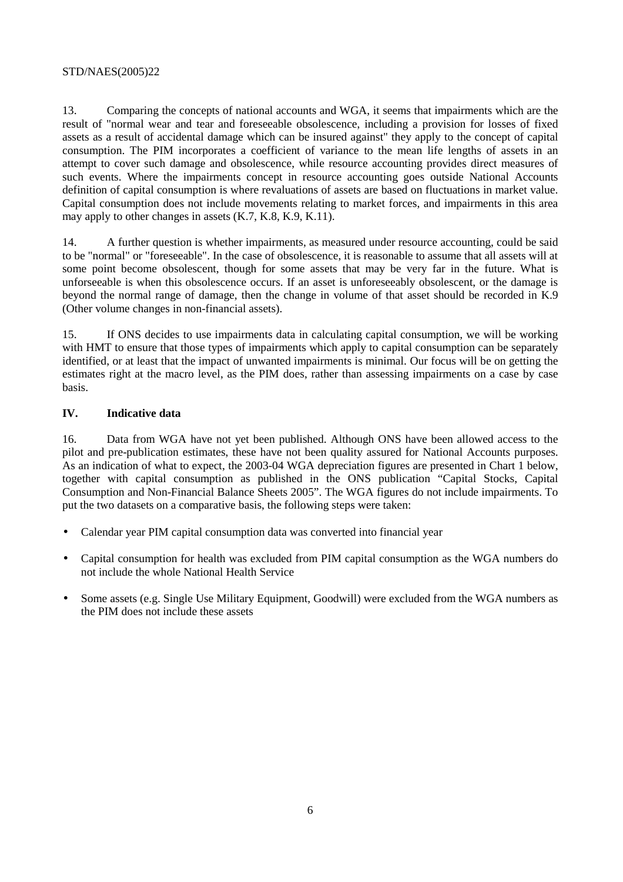13. Comparing the concepts of national accounts and WGA, it seems that impairments which are the result of "normal wear and tear and foreseeable obsolescence, including a provision for losses of fixed assets as a result of accidental damage which can be insured against" they apply to the concept of capital consumption. The PIM incorporates a coefficient of variance to the mean life lengths of assets in an attempt to cover such damage and obsolescence, while resource accounting provides direct measures of such events. Where the impairments concept in resource accounting goes outside National Accounts definition of capital consumption is where revaluations of assets are based on fluctuations in market value. Capital consumption does not include movements relating to market forces, and impairments in this area may apply to other changes in assets (K.7, K.8, K.9, K.11).

14. A further question is whether impairments, as measured under resource accounting, could be said to be "normal" or "foreseeable". In the case of obsolescence, it is reasonable to assume that all assets will at some point become obsolescent, though for some assets that may be very far in the future. What is unforseeable is when this obsolescence occurs. If an asset is unforeseeably obsolescent, or the damage is beyond the normal range of damage, then the change in volume of that asset should be recorded in K.9 (Other volume changes in non-financial assets).

15. If ONS decides to use impairments data in calculating capital consumption, we will be working with HMT to ensure that those types of impairments which apply to capital consumption can be separately identified, or at least that the impact of unwanted impairments is minimal. Our focus will be on getting the estimates right at the macro level, as the PIM does, rather than assessing impairments on a case by case basis.

### **IV. Indicative data**

16. Data from WGA have not yet been published. Although ONS have been allowed access to the pilot and pre-publication estimates, these have not been quality assured for National Accounts purposes. As an indication of what to expect, the 2003-04 WGA depreciation figures are presented in Chart 1 below, together with capital consumption as published in the ONS publication "Capital Stocks, Capital Consumption and Non-Financial Balance Sheets 2005". The WGA figures do not include impairments. To put the two datasets on a comparative basis, the following steps were taken:

- Calendar year PIM capital consumption data was converted into financial year
- Capital consumption for health was excluded from PIM capital consumption as the WGA numbers do not include the whole National Health Service
- Some assets (e.g. Single Use Military Equipment, Goodwill) were excluded from the WGA numbers as the PIM does not include these assets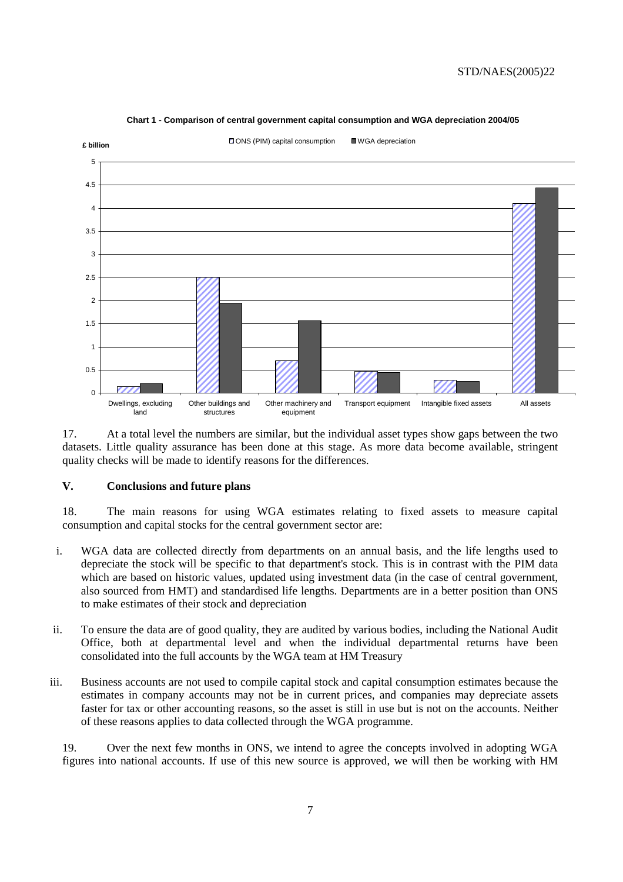

#### **Chart 1 - Comparison of central government capital consumption and WGA depreciation 2004/05**

17. At a total level the numbers are similar, but the individual asset types show gaps between the two datasets. Little quality assurance has been done at this stage. As more data become available, stringent quality checks will be made to identify reasons for the differences.

#### **V. Conclusions and future plans**

18. The main reasons for using WGA estimates relating to fixed assets to measure capital consumption and capital stocks for the central government sector are:

- i. WGA data are collected directly from departments on an annual basis, and the life lengths used to depreciate the stock will be specific to that department's stock. This is in contrast with the PIM data which are based on historic values, updated using investment data (in the case of central government, also sourced from HMT) and standardised life lengths. Departments are in a better position than ONS to make estimates of their stock and depreciation
- ii. To ensure the data are of good quality, they are audited by various bodies, including the National Audit Office, both at departmental level and when the individual departmental returns have been consolidated into the full accounts by the WGA team at HM Treasury
- iii. Business accounts are not used to compile capital stock and capital consumption estimates because the estimates in company accounts may not be in current prices, and companies may depreciate assets faster for tax or other accounting reasons, so the asset is still in use but is not on the accounts. Neither of these reasons applies to data collected through the WGA programme.

19. Over the next few months in ONS, we intend to agree the concepts involved in adopting WGA figures into national accounts. If use of this new source is approved, we will then be working with HM